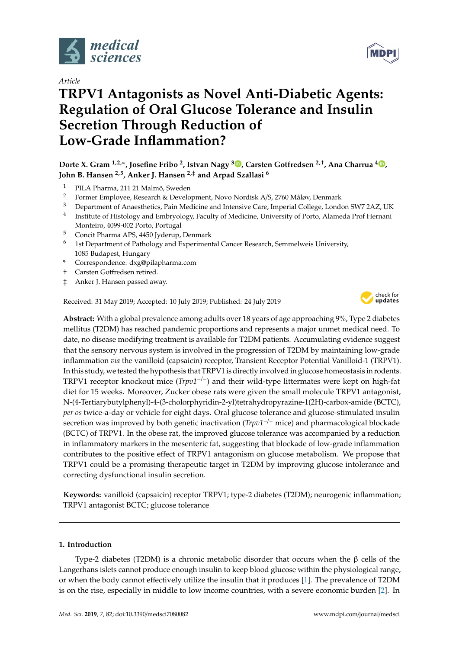

*Article*

# **TRPV1 Antagonists as Novel Anti-Diabetic Agents: Regulation of Oral Glucose Tolerance and Insulin Secretion Through Reduction of Low-Grade Inflammation?**

**Dorte X. Gram 1,2,\*, Josefine Fribo <sup>2</sup> , Istvan Nagy [3](https://orcid.org/0000-0003-3475-6108) , Carsten Gotfredsen 2,**† **, Ana Charrua <sup>4</sup> [,](https://orcid.org/0000-0002-7717-7790) John B. Hansen 2,5, Anker J. Hansen 2,**‡ **and Arpad Szallasi <sup>6</sup>**

- <sup>1</sup> PILA Pharma, 211 21 Malmö, Sweden
- <sup>2</sup> Former Employee, Research & Development, Novo Nordisk A/S, 2760 Måløv, Denmark
- <sup>3</sup> Department of Anaesthetics, Pain Medicine and Intensive Care, Imperial College, London SW7 2AZ, UK
- 4 Institute of Histology and Embryology, Faculty of Medicine, University of Porto, Alameda Prof Hernani Monteiro, 4099-002 Porto, Portugal
- <sup>5</sup> Concit Pharma APS, 4450 Jyderup, Denmark
- $6$  1st Department of Pathology and Experimental Cancer Research, Semmelweis University, 1085 Budapest, Hungary
- **\*** Correspondence: dxg@pilapharma.com
- † Carsten Gotfredsen retired.
- ‡ Anker J. Hansen passed away.

Received: 31 May 2019; Accepted: 10 July 2019; Published: 24 July 2019



**Abstract:** With a global prevalence among adults over 18 years of age approaching 9%, Type 2 diabetes mellitus (T2DM) has reached pandemic proportions and represents a major unmet medical need. To date, no disease modifying treatment is available for T2DM patients. Accumulating evidence suggest that the sensory nervous system is involved in the progression of T2DM by maintaining low-grade inflammation *via* the vanilloid (capsaicin) receptor, Transient Receptor Potential Vanilloid-1 (TRPV1). In this study, we tested the hypothesis that TRPV1 is directly involved in glucose homeostasis in rodents. TRPV1 receptor knockout mice (*Trpv1*−/−) and their wild-type littermates were kept on high-fat diet for 15 weeks. Moreover, Zucker obese rats were given the small molecule TRPV1 antagonist, N-(4-Tertiarybutylphenyl)-4-(3-cholorphyridin-2-yl)tetrahydropyrazine-1(2H)-carbox-amide (BCTC), *per os* twice-a-day or vehicle for eight days. Oral glucose tolerance and glucose-stimulated insulin secretion was improved by both genetic inactivation (*Trpv1*−/<sup>−</sup> mice) and pharmacological blockade (BCTC) of TRPV1. In the obese rat, the improved glucose tolerance was accompanied by a reduction in inflammatory markers in the mesenteric fat, suggesting that blockade of low-grade inflammation contributes to the positive effect of TRPV1 antagonism on glucose metabolism. We propose that TRPV1 could be a promising therapeutic target in T2DM by improving glucose intolerance and correcting dysfunctional insulin secretion.

**Keywords:** vanilloid (capsaicin) receptor TRPV1; type-2 diabetes (T2DM); neurogenic inflammation; TRPV1 antagonist BCTC; glucose tolerance

#### **1. Introduction**

Type-2 diabetes (T2DM) is a chronic metabolic disorder that occurs when the β cells of the Langerhans islets cannot produce enough insulin to keep blood glucose within the physiological range, or when the body cannot effectively utilize the insulin that it produces [\[1\]](#page-10-0). The prevalence of T2DM is on the rise, especially in middle to low income countries, with a severe economic burden [\[2\]](#page-10-1). In

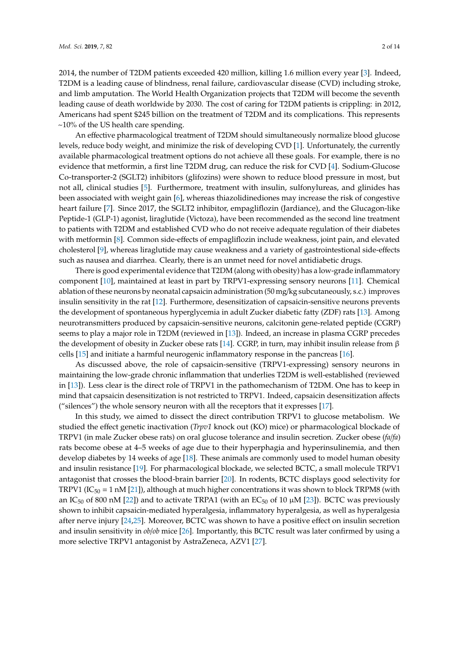2014, the number of T2DM patients exceeded 420 million, killing 1.6 million every year [\[3\]](#page-10-2). Indeed, T2DM is a leading cause of blindness, renal failure, cardiovascular disease (CVD) including stroke, and limb amputation. The World Health Organization projects that T2DM will become the seventh leading cause of death worldwide by 2030. The cost of caring for T2DM patients is crippling: in 2012, Americans had spent \$245 billion on the treatment of T2DM and its complications. This represents  $\sim$ 10% of the US health care spending.

An effective pharmacological treatment of T2DM should simultaneously normalize blood glucose levels, reduce body weight, and minimize the risk of developing CVD [\[1\]](#page-10-0). Unfortunately, the currently available pharmacological treatment options do not achieve all these goals. For example, there is no evidence that metformin, a first line T2DM drug, can reduce the risk for CVD [\[4\]](#page-10-3). Sodium-Glucose Co-transporter-2 (SGLT2) inhibitors (glifozins) were shown to reduce blood pressure in most, but not all, clinical studies [\[5\]](#page-10-4). Furthermore, treatment with insulin, sulfonylureas, and glinides has been associated with weight gain [\[6\]](#page-10-5), whereas thiazolidinediones may increase the risk of congestive heart failure [\[7\]](#page-10-6). Since 2017, the SGLT2 inhibitor, empagliflozin (Jardiance), and the Glucagon-like Peptide-1 (GLP-1) agonist, liraglutide (Victoza), have been recommended as the second line treatment to patients with T2DM and established CVD who do not receive adequate regulation of their diabetes with metformin [\[8\]](#page-10-7). Common side-effects of empagliflozin include weakness, joint pain, and elevated cholesterol [\[9\]](#page-10-8), whereas liraglutide may cause weakness and a variety of gastrointestional side-effects such as nausea and diarrhea. Clearly, there is an unmet need for novel antidiabetic drugs.

There is good experimental evidence that T2DM (along with obesity) has a low-grade inflammatory component [\[10\]](#page-10-9), maintained at least in part by TRPV1-expressing sensory neurons [\[11\]](#page-10-10). Chemical ablation of these neurons by neonatal capsaicin administration (50 mg/kg subcutaneously, s.c.) improves insulin sensitivity in the rat [\[12\]](#page-10-11). Furthermore, desensitization of capsaicin-sensitive neurons prevents the development of spontaneous hyperglycemia in adult Zucker diabetic fatty (ZDF) rats [\[13\]](#page-10-12). Among neurotransmitters produced by capsaicin-sensitive neurons, calcitonin gene-related peptide (CGRP) seems to play a major role in T2DM (reviewed in [\[13\]](#page-10-12)). Indeed, an increase in plasma CGRP precedes the development of obesity in Zucker obese rats [\[14\]](#page-11-0). CGRP, in turn, may inhibit insulin release from β cells [\[15\]](#page-11-1) and initiate a harmful neurogenic inflammatory response in the pancreas [\[16\]](#page-11-2).

As discussed above, the role of capsaicin-sensitive (TRPV1-expressing) sensory neurons in maintaining the low-grade chronic inflammation that underlies T2DM is well-established (reviewed in [\[13\]](#page-10-12)). Less clear is the direct role of TRPV1 in the pathomechanism of T2DM. One has to keep in mind that capsaicin desensitization is not restricted to TRPV1. Indeed, capsaicin desensitization affects ("silences") the whole sensory neuron with all the receptors that it expresses [\[17\]](#page-11-3).

In this study, we aimed to dissect the direct contribution TRPV1 to glucose metabolism. We studied the effect genetic inactivation (*Trpv1* knock out (KO) mice) or pharmacological blockade of TRPV1 (in male Zucker obese rats) on oral glucose tolerance and insulin secretion. Zucker obese (*fa*/*fa*) rats become obese at 4–5 weeks of age due to their hyperphagia and hyperinsulinemia, and then develop diabetes by 14 weeks of age [\[18\]](#page-11-4). These animals are commonly used to model human obesity and insulin resistance [\[19\]](#page-11-5). For pharmacological blockade, we selected BCTC, a small molecule TRPV1 antagonist that crosses the blood-brain barrier [\[20\]](#page-11-6). In rodents, BCTC displays good selectivity for TRPV1 (IC<sub>50</sub> = 1 nM [\[21\]](#page-11-7)), although at much higher concentrations it was shown to block TRPM8 (with an IC<sub>50</sub> of 800 nM [\[22\]](#page-11-8)) and to activate TRPA1 (with an EC<sub>50</sub> of 10  $\mu$ M [\[23\]](#page-11-9)). BCTC was previously shown to inhibit capsaicin-mediated hyperalgesia, inflammatory hyperalgesia, as well as hyperalgesia after nerve injury [\[24,](#page-11-10)[25\]](#page-11-11). Moreover, BCTC was shown to have a positive effect on insulin secretion and insulin sensitivity in *ob*/*ob* mice [\[26\]](#page-11-12). Importantly, this BCTC result was later confirmed by using a more selective TRPV1 antagonist by AstraZeneca, AZV1 [\[27\]](#page-11-13).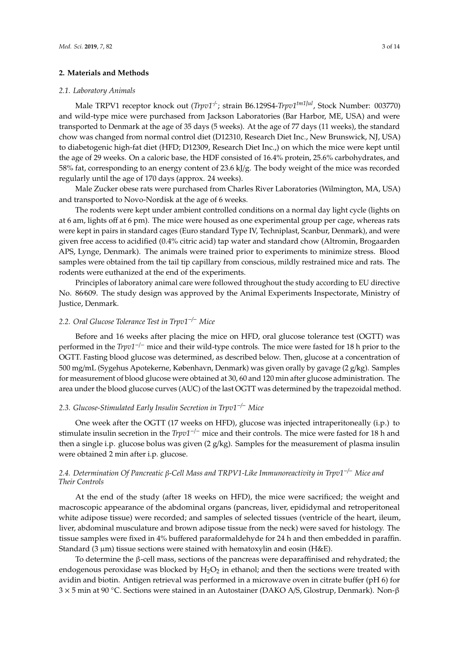### **2. Materials and Methods**

#### *2.1. Laboratory Animals*

Male TRPV1 receptor knock out (*Trpv1-*/*-* ; strain B6.129S4-*Trpv1tm1Jul*, Stock Number: 003770) and wild-type mice were purchased from Jackson Laboratories (Bar Harbor, ME, USA) and were transported to Denmark at the age of 35 days (5 weeks). At the age of 77 days (11 weeks), the standard chow was changed from normal control diet (D12310, Research Diet Inc., New Brunswick, NJ, USA) to diabetogenic high-fat diet (HFD; D12309, Research Diet Inc.,) on which the mice were kept until the age of 29 weeks. On a caloric base, the HDF consisted of 16.4% protein, 25.6% carbohydrates, and 58% fat, corresponding to an energy content of 23.6 kJ/g. The body weight of the mice was recorded regularly until the age of 170 days (approx. 24 weeks).

Male Zucker obese rats were purchased from Charles River Laboratories (Wilmington, MA, USA) and transported to Novo-Nordisk at the age of 6 weeks.

The rodents were kept under ambient controlled conditions on a normal day light cycle (lights on at 6 am, lights off at 6 pm). The mice were housed as one experimental group per cage, whereas rats were kept in pairs in standard cages (Euro standard Type IV, Techniplast, Scanbur, Denmark), and were given free access to acidified (0.4% citric acid) tap water and standard chow (Altromin, Brogaarden APS, Lynge, Denmark). The animals were trained prior to experiments to minimize stress. Blood samples were obtained from the tail tip capillary from conscious, mildly restrained mice and rats. The rodents were euthanized at the end of the experiments.

Principles of laboratory animal care were followed throughout the study according to EU directive No. 86⁄609. The study design was approved by the Animal Experiments Inspectorate, Ministry of Justice, Denmark.

# *2.2. Oral Glucose Tolerance Test in Trpv1*−/<sup>−</sup> *Mice*

Before and 16 weeks after placing the mice on HFD, oral glucose tolerance test (OGTT) was performed in the *Trpv1*−/<sup>−</sup> mice and their wild-type controls. The mice were fasted for 18 h prior to the OGTT. Fasting blood glucose was determined, as described below. Then, glucose at a concentration of 500 mg/mL (Sygehus Apotekerne, København, Denmark) was given orally by gavage (2 g/kg). Samples for measurement of blood glucose were obtained at 30, 60 and 120 min after glucose administration. The area under the blood glucose curves (AUC) of the last OGTT was determined by the trapezoidal method.

# *2.3. Glucose-Stimulated Early Insulin Secretion in Trpv1*−/<sup>−</sup> *Mice*

One week after the OGTT (17 weeks on HFD), glucose was injected intraperitoneally (i.p.) to stimulate insulin secretion in the *Trpv1*−/<sup>−</sup> mice and their controls. The mice were fasted for 18 h and then a single i.p. glucose bolus was given  $(2 g/kg)$ . Samples for the measurement of plasma insulin were obtained 2 min after i.p. glucose.

# *2.4. Determination Of Pancreatic* β*-Cell Mass and TRPV1-Like Immunoreactivity in Trpv1*−/<sup>−</sup> *Mice and Their Controls*

At the end of the study (after 18 weeks on HFD), the mice were sacrificed; the weight and macroscopic appearance of the abdominal organs (pancreas, liver, epididymal and retroperitoneal white adipose tissue) were recorded; and samples of selected tissues (ventricle of the heart, ileum, liver, abdominal musculature and brown adipose tissue from the neck) were saved for histology. The tissue samples were fixed in 4% buffered paraformaldehyde for 24 h and then embedded in paraffin. Standard (3  $\mu$ m) tissue sections were stained with hematoxylin and eosin (H&E).

To determine the β-cell mass, sections of the pancreas were deparaffinised and rehydrated; the endogenous peroxidase was blocked by  $H_2O_2$  in ethanol; and then the sections were treated with avidin and biotin. Antigen retrieval was performed in a microwave oven in citrate buffer (pH 6) for 3 × 5 min at 90 ◦C. Sections were stained in an Autostainer (DAKO A/S, Glostrup, Denmark). Non-β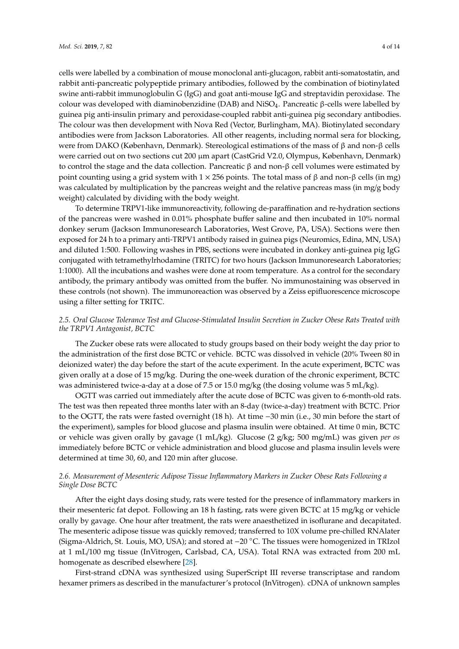cells were labelled by a combination of mouse monoclonal anti-glucagon, rabbit anti-somatostatin, and rabbit anti-pancreatic polypeptide primary antibodies, followed by the combination of biotinylated swine anti-rabbit immunoglobulin G (IgG) and goat anti-mouse IgG and streptavidin peroxidase. The colour was developed with diaminobenzidine (DAB) and NiSO<sub>4</sub>. Pancreatic β-cells were labelled by guinea pig anti-insulin primary and peroxidase-coupled rabbit anti-guinea pig secondary antibodies. The colour was then development with Nova Red (Vector, Burlingham, MA). Biotinylated secondary antibodies were from Jackson Laboratories. All other reagents, including normal sera for blocking, were from DAKO (København, Denmark). Stereological estimations of the mass of β and non-β cells were carried out on two sections cut 200 µm apart (CastGrid V2.0, Olympus, København, Denmark) to control the stage and the data collection. Pancreatic β and non-β cell volumes were estimated by point counting using a grid system with  $1 \times 256$  points. The total mass of β and non-β cells (in mg) was calculated by multiplication by the pancreas weight and the relative pancreas mass (in mg/g body weight) calculated by dividing with the body weight.

To determine TRPV1-like immunoreactivity, following de-paraffination and re-hydration sections of the pancreas were washed in 0.01% phosphate buffer saline and then incubated in 10% normal donkey serum (Jackson Immunoresearch Laboratories, West Grove, PA, USA). Sections were then exposed for 24 h to a primary anti-TRPV1 antibody raised in guinea pigs (Neuromics, Edina, MN, USA) and diluted 1:500. Following washes in PBS, sections were incubated in donkey anti-guinea pig IgG conjugated with tetramethylrhodamine (TRITC) for two hours (Jackson Immunoresearch Laboratories; 1:1000). All the incubations and washes were done at room temperature. As a control for the secondary antibody, the primary antibody was omitted from the buffer. No immunostaining was observed in these controls (not shown). The immunoreaction was observed by a Zeiss epifluorescence microscope using a filter setting for TRITC.

# *2.5. Oral Glucose Tolerance Test and Glucose-Stimulated Insulin Secretion in Zucker Obese Rats Treated with the TRPV1 Antagonist, BCTC*

The Zucker obese rats were allocated to study groups based on their body weight the day prior to the administration of the first dose BCTC or vehicle. BCTC was dissolved in vehicle (20% Tween 80 in deionized water) the day before the start of the acute experiment. In the acute experiment, BCTC was given orally at a dose of 15 mg/kg. During the one-week duration of the chronic experiment, BCTC was administered twice-a-day at a dose of 7.5 or 15.0 mg/kg (the dosing volume was 5 mL/kg).

OGTT was carried out immediately after the acute dose of BCTC was given to 6-month-old rats. The test was then repeated three months later with an 8-day (twice-a-day) treatment with BCTC. Prior to the OGTT, the rats were fasted overnight (18 h). At time −30 min (i.e., 30 min before the start of the experiment), samples for blood glucose and plasma insulin were obtained. At time 0 min, BCTC or vehicle was given orally by gavage (1 mL/kg). Glucose (2 g/kg; 500 mg/mL) was given *per os* immediately before BCTC or vehicle administration and blood glucose and plasma insulin levels were determined at time 30, 60, and 120 min after glucose.

# *2.6. Measurement of Mesenteric Adipose Tissue Inflammatory Markers in Zucker Obese Rats Following a Single Dose BCTC*

After the eight days dosing study, rats were tested for the presence of inflammatory markers in their mesenteric fat depot. Following an 18 h fasting, rats were given BCTC at 15 mg/kg or vehicle orally by gavage. One hour after treatment, the rats were anaesthetized in isoflurane and decapitated. The mesenteric adipose tissue was quickly removed; transferred to 10X volume pre-chilled RNAlater (Sigma-Aldrich, St. Louis, MO, USA); and stored at −20 ◦C. The tissues were homogenized in TRIzol at 1 mL/100 mg tissue (InVitrogen, Carlsbad, CA, USA). Total RNA was extracted from 200 mL homogenate as described elsewhere [\[28\]](#page-11-14).

First-strand cDNA was synthesized using SuperScript III reverse transcriptase and random hexamer primers as described in the manufacturer's protocol (InVitrogen). cDNA of unknown samples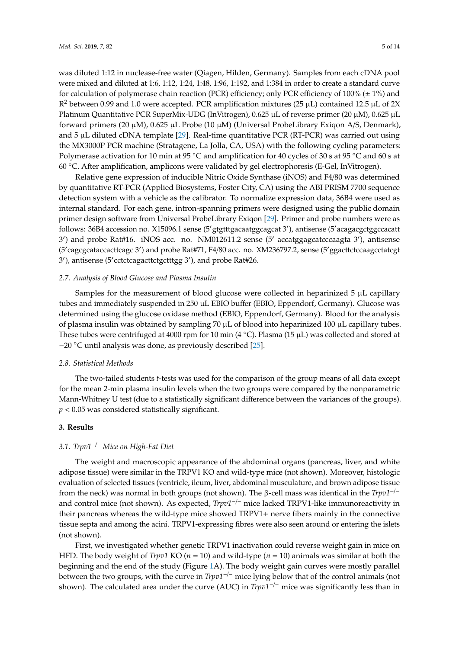was diluted 1:12 in nuclease-free water (Qiagen, Hilden, Germany). Samples from each cDNA pool were mixed and diluted at 1:6, 1:12, 1:24, 1:48, 1:96, 1:192, and 1:384 in order to create a standard curve for calculation of polymerase chain reaction (PCR) efficiency; only PCR efficiency of 100% ( $\pm$  1%) and  $\mathbb{R}^2$  between 0.99 and 1.0 were accepted. PCR amplification mixtures (25 µL) contained 12.5 µL of 2X Platinum Quantitative PCR SuperMix-UDG (InVitrogen), 0.625 µL of reverse primer (20 µM), 0.625 µL forward primers (20  $\mu$ M), 0.625  $\mu$ L Probe (10  $\mu$ M) (Universal ProbeLibrary Exigon A/S, Denmark), and  $5 \mu L$  diluted cDNA template [\[29\]](#page-11-15). Real-time quantitative PCR (RT-PCR) was carried out using the MX3000P PCR machine (Stratagene, La Jolla, CA, USA) with the following cycling parameters: Polymerase activation for 10 min at 95 °C and amplification for 40 cycles of 30 s at 95 °C and 60 s at 60 ◦C. After amplification, amplicons were validated by gel electrophoresis (E-Gel, InVitrogen).

Relative gene expression of inducible Nitric Oxide Synthase (iNOS) and F4/80 was determined by quantitative RT-PCR (Applied Biosystems, Foster City, CA) using the ABI PRISM 7700 sequence detection system with a vehicle as the calibrator. To normalize expression data, 36B4 were used as internal standard. For each gene, intron-spanning primers were designed using the public domain primer design software from Universal ProbeLibrary Exiqon [\[29\]](#page-11-15). Primer and probe numbers were as follows: 36B4 accession no. X15096.1 sense (5'gtgtttgacaatggcagcat 3'), antisense (5'acagacgctggccacatt 3') and probe Rat#16. iNOS acc. no. NM012611.2 sense (5' accatggagcatcccaagta 3'), antisense (5'cagcgcataccacttcagc 3') and probe Rat#71, F4/80 acc. no. XM236797.2, sense (5'ggacttctccaagcctatcgt 3'), antisense (5' cctctcagacttctgctttgg 3'), and probe Rat#26.

#### *2.7. Analysis of Blood Glucose and Plasma Insulin*

Samples for the measurement of blood glucose were collected in heparinized  $5 \mu L$  capillary tubes and immediately suspended in 250 µL EBIO buffer (EBIO, Eppendorf, Germany). Glucose was determined using the glucose oxidase method (EBIO, Eppendorf, Germany). Blood for the analysis of plasma insulin was obtained by sampling 70 µL of blood into heparinized 100 µL capillary tubes. These tubes were centrifuged at 4000 rpm for 10 min (4  $^{\circ}$ C). Plasma (15 µL) was collected and stored at −20 ◦C until analysis was done, as previously described [\[25\]](#page-11-11).

#### *2.8. Statistical Methods*

The two-tailed students *t*-tests was used for the comparison of the group means of all data except for the mean 2-min plasma insulin levels when the two groups were compared by the nonparametric Mann-Whitney U test (due to a statistically significant difference between the variances of the groups). *p* < 0.05 was considered statistically significant.

#### **3. Results**

# *3.1. Trpv1*−/<sup>−</sup> *Mice on High-Fat Diet*

The weight and macroscopic appearance of the abdominal organs (pancreas, liver, and white adipose tissue) were similar in the TRPV1 KO and wild-type mice (not shown). Moreover, histologic evaluation of selected tissues (ventricle, ileum, liver, abdominal musculature, and brown adipose tissue from the neck) was normal in both groups (not shown). The β-cell mass was identical in the *Trpv1*−/<sup>−</sup> and control mice (not shown). As expected, *Trpv1*−/<sup>−</sup> mice lacked TRPV1-like immunoreactivity in their pancreas whereas the wild-type mice showed TRPV1+ nerve fibers mainly in the connective tissue septa and among the acini. TRPV1-expressing fibres were also seen around or entering the islets (not shown).

First, we investigated whether genetic TRPV1 inactivation could reverse weight gain in mice on HFD. The body weight of *Trpv1* KO (*n* = 10) and wild-type (*n* = 10) animals was similar at both the beginning and the end of the study (Figure [1A](#page-5-0)). The body weight gain curves were mostly parallel between the two groups, with the curve in *Trpv1*−/<sup>−</sup> mice lying below that of the control animals (not shown). The calculated area under the curve (AUC) in *Trpv1*−/<sup>−</sup> mice was significantly less than in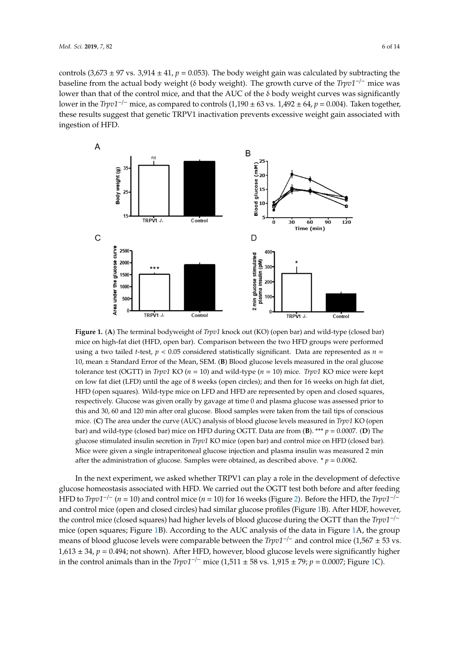controls (3,673  $\pm$  97 vs. 3,914  $\pm$  41,  $p$  = 0.053). The body weight gain was calculated by subtracting the baseline from the actual body weight (δ body weight). The growth curve of the *Trpv1*−/<sup>−</sup> mice was lower than that of the control mice, and that the AUC of the δ body weight curves was significantly lower in the *Trpv1<sup>-/-</sup>* mice, as compared to controls  $(1,190 \pm 63 \text{ vs. } 1,492 \pm 64, p = 0.004)$ . Taken together, these results suggest that genetic TRPV1 inactivation prevents excessive weight gain associated with ingestion of HFD. These results suggestion prevents weight gain associated with gain associated with gain associated with gain associated with gain associated with gain associated with gain associated with gain associated

<span id="page-5-0"></span>

**Figure 1. A)** The terminal bodyweight of *Trpv1* knock out (KO) (open bar) and wild-type (closed bar) mice on high-fat diet (HFD, open bar). Comparison between the two HFD groups were performed using a two tailed *t*-test, *p* < 0.05 considered statistically significant. Data are represented as *n* = 10, mean ± Standard Error of the Mean, SEM. (**B**) Blood glucose levels measured in the oral glucose tolerance test (OGTT) in *Trpv1* KO ( $n = 10$ ) and wild-type ( $n = 10$ ) mice. *Trpv1* KO mice were kept on low fat diet (LFD) until the age of 8 weeks (open circles); and then for 16 weeks on high fat diet, HFD (open squares). Wild-type mice on LFD and HFD are represented by open and closed squares, respectively. Glucose was given orally by gavage at time 0 and plasma glucose was assessed prior to this and 30, 60 and 120 min after oral glucose. Blood samples were taken from the tail tips of conscious mice. (C) The area under the curve (AUC) analysis of blood glucose levels measured in *Trpv1* KO (open bar) and wild-type (closed bar) mice on HFD during OGTT. Data are from (B). \*\*\*  $p = 0.0007$ . (D) The glucose stimulated insulin secretion in *Trpv1* KO mice (open bar) and control mice on HFD (closed bar). Mice were given a single intraperitoneal glucose injection and plasma insulin was measured 2 min after the administration of glucose. Samples were obtained, as described above. \*  $p = 0.0062$ . min after the administration of glucose. Samples were obtained, as described above. \*p = 0.0062. **Figure 1.** (**A**) The terminal bodyweight of *Trpv1* knock out (KO) (open bar) and wild-type (closed bar)

glucose homeostasis associated with HFD. We carried out the OGTT test both before and after feeding HFD to Trpv1<sup>-/-</sup> (n = 10) and control mice (n = 10) for 16 weeks (Figure 2). Before the HFD, the Trpv1<sup>-/-</sup> and control mice (open and closed circles) had similar glucose profiles (Figure [1B](#page-5-0)). After HDF, however, the control mice (closed squares) had higher levels of blood glucose during the OGTT than the *Trpv1<sup>−/−</sup>* mice (open squares; Figure [1B](#page-5-0)). According to the AUC analysis of the data in Figure [1A](#page-5-0), the group means of blood glucose levels were comparable between the *Trpv1<sup>−/−</sup>* and control mice (1,567 ± 53 vs. 1,613 ± 34, *p* = 0.494; not shown). After HFD, however, blood glucose levels were significantly higher in the control animals than in the *Trpv1<sup>−/−</sup>* mice (1,511 ± 58 vs. 1,915 ± 79; *p* = 0.0007; Figure 1C). In the next experiment, we asked whether TRPV1 can play a role in the development of defective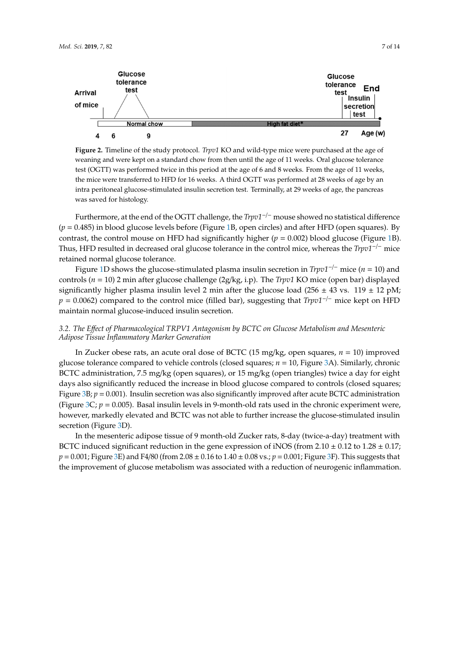<span id="page-6-0"></span>

weaning and were kept on a standard chow from then until the age of 11 weeks. Oral glucose tolerance test (OGTT) was performed twice in this period at the age of 6 and 8 weeks. From the age of 11 weeks, the mice were transferred to HFD for 16 weeks. A third OGTT was performed at 28 weeks of age by an intra peritoneal glucose-stimulated insulin secretion test. Terminally, at 29 weeks of age, the pancreas  $\frac{d}{dx}$  and  $\frac{d}{dx}$  insuling secretion test. The  $\frac{d}{dx}$ **Figure 2.** Timeline of the study protocol. *Trpv1* KO and wild-type mice were purchased at the age of was saved for histology.

Furthermore, at the end of the OGTT challenge, the *Trpv1<sup>-/-</sup>* mouse showed no statistical difference  $F_{\rm P}$  = 0.400) in blood glucose it vers before (*i* igute 1*D*, open encres) and after 1*H D* (open squares). By contrast, the control mouse on HFD had significantly higher (*p* = 0.002) blood glucose (Figure [1B](#page-5-0)).  $\frac{d}{dt}$  = 0.485) in blood glucose  $\frac{d}{dt}$  in blood glucose (Figure 1B)  $\frac{d}{dt}$ Thus, HFD resulted in decreased oral glucose tolerance in the control mice, whereas the *Trpv1<sup>−/−</sup>* mice (*p* = 0.485) in blood glucose levels before (Figure [1B](#page-5-0), open circles) and after HFD (open squares). By retained normal glucose tolerance.

Figure [1D](#page-5-0) shows the glucose-stimulated plasma insulin secretion in *Trpv1<sup>−/−</sup>* mice (*n* = 10) and  $Tr$  and  $Tr$  mice  $Tr$  and  $Tr$  and  $Tr$  and  $Tr$  and  $Tr$  and  $Tr$  and  $Tr$  and  $Tr$  and  $Tr$  and  $Tr$  and  $Tr$  and  $Tr$  and  $Tr$  and  $Tr$  and  $Tr$  and  $Tr$  and  $Tr$  and  $Tr$  and  $Tr$  and  $Tr$  and  $Tr$  and  $Tr$  and  $Tr$  $F(x, y) = \frac{1}{2}$  min and glucose chanding (2g/ $x, y$ ). The *Trpv1* KO mice (open bar) displayed significantly higher plasma insulin level 2 min after the glucose load (256 ± 43 vs. 119 ± 12 pM; control in the 10 minutes of  $\frac{1}{2}$  minutes are glucose four (2g/kg, i.p). The  $\frac{1}{2}$  $p = 0.0062$ ) compared to the control mice (filled bar), suggesting that *Trpv1<sup>-/-</sup>* mice kept on HFD maintain normal glucose-induced insulin secretion.

# 3.2. The Effect of Pharmacological TRPV1 Antagonism by BCTC on Glucose Metabolism and Mesenteric *Adipose Tissue Inflammatory Marker Generation*

*3.2. The Effect of Pharmacological TRPV1 Antagonism by BCTC on Glucose Metabolism and Mesenteric Adipose Tissue Inflammatory Marker Generation*  In Zucker obese rats, an acute oral dose of BCTC (15 mg/kg, open squares, *n* = 10) improved BCTC administration, 7.5 mg/kg (open squares), or 15 mg/kg (open triangles) twice a day for eight days also significantly reduced the increase in blood glucose compared to controls (closed squares; Figure [3B](#page-7-0); *p* = 0.001). Insulin secretion was also significantly improved after acute BCTC administration (Figure [3C](#page-7-0);  $p = 0.005$ ). Basal insulin levels in 9-month-old rats used in the chronic experiment were, however, markedly elevated and BCTC was not able to further increase the glucose-stimulated insulin secretion (Figure [3D](#page-7-0)). glucose tolerance compared to vehicle controls (closed squares; *n* = 10, Figure [3A](#page-7-0)). Similarly, chronic

In the mesenteric adipose tissue of 9 month-old Zucker rats, 8-day (twice-a-day) treatment with BCTC induced significant reduction in the gene expression of iNOS (from  $2.10 \pm 0.12$  to  $1.28 \pm 0.17$ ; *p* = 0.001; Figure [3E](#page-7-0)) and F4/80 (from 2.08 ± 0.16 to 1.40 ± 0.08 vs.; *p* = 0.001; Figure [3F](#page-7-0)). This suggests that the improvement of glucose metabolism was associated with a reduction of neurogenic inflammation.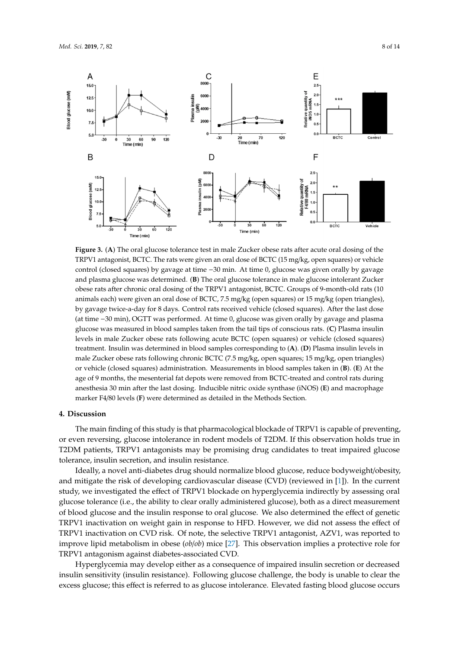<span id="page-7-0"></span>

TRPV1 antagonist, BCTC. The rats were given an oral dose of BCTC (15 mg/kg, open squares) or vehicle control (closed squares) by gavage at time −30 min. At time 0, glucose was given orally by gavage and plasma glucose was determined. (**B**) The oral glucose tolerance in male glucose intolerant Zucker obese rats after chronic oral dosing of the TRPV1 antagonist, BCTC. Groups of 9-month-old rats (10 animals each) were given an oral dose of BCTC, 7.5 mg/kg (open squares) or 15 mg/kg (open triangles), by gavage twice-a-day for 8 days. Control rats received vehicle (closed squares). After the last dose (at time -30 min), OGTT was performed. At time 0, glucose was given orally by gavage and plasma glucose was measured in blood samples taken from the tail tips of conscious rats. (C) Plasma insulin levels in male Zucker obese rats following acute BCTC (open squares) or vehicle (closed squares) treatment. Insulin was determined in blood samples corresponding to (A). (D) Plasma insulin levels in male Zucker obese rats following chronic BCTC (7.5 mg/kg, open squares; 15 mg/kg, open triangles) or vehicle (closed squares) administration. Measurements in blood samples taken in  $(B)$ . (E) At the or vehicle (closed squares) administration. Measurements in blood samples taken in  $(B)$ . (E) At the age of 9 months, the mesenterial fat depots were removed from BCTC-treated and control rats during anesthesia 30 min after the last dosing. Inducible nitric oxide synthase (iNOS) (E) and macrophage<br>marker F4/80 levels (F) were determined as detailed in the Methods Section. marker F4/80 levels (F) were determined as detailed in the Methods Section. **Figure 3.** (**A**) The oral glucose tolerance test in male Zucker obese rats after acute oral dosing of the

#### macrophage marker F4/80 levels **(F)** were determined as detailed in the Methods Section. **4. Discussion**

The main finding of this study is that pharmacological blockade of TRPV1 is capable of preventing, or even reversing, glucose intolerance in rodent models of T2DM. If this observation holds true in T2DM patients, TRPV1 antagonists may be promising drug candidates to treat impaired glucose tolerance, insulin secretion, and insulin resistance.

Ideally, a novel anti-diabetes drug should normalize blood glucose, reduce bodyweight/obesity, **4. Discussion**  study, we investigated the effect of TRPV1 blockade on hyperglycemia indirectly by assessing oral glucose tolerance (i.e., the ability to clear orally administered glucose), both as a direct measurement of blood glucose and the insulin response to oral glucose. We also determined the effect of genetic TRPV1 inactivation on weight gain in response to HFD. However, we did not assess the effect of TRPV1 inactivation on CVD risk. Of note, the selective TRPV1 antagonist, AZV1, was reported to improve lipid metabolism in obese (*ob*/*ob*) mice [\[27\]](#page-11-13). This observation implies a protective role for TRPV1 antagonism against diabetes-associated CVD. and mitigate the risk of developing cardiovascular disease (CVD) (reviewed in [\[1\]](#page-10-0)). In the current

Hyperglycemia may develop either as a consequence of impaired insulin secretion or decreased insulin sensitivity (insulin resistance). Following glucose challenge, the body is unable to clear the excess glucose; this effect is referred to as glucose intolerance. Elevated fasting blood glucose occurs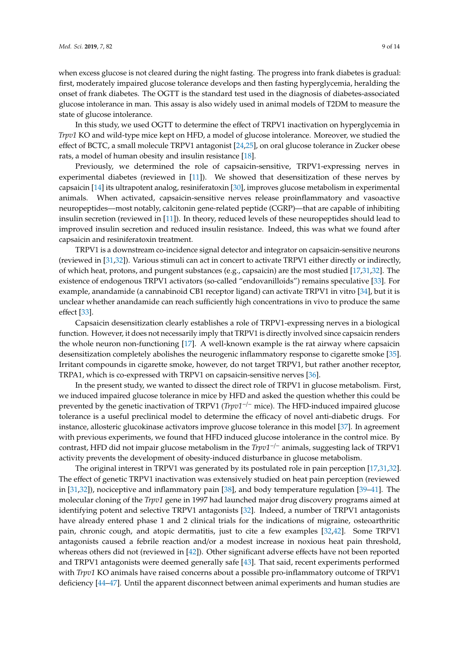when excess glucose is not cleared during the night fasting. The progress into frank diabetes is gradual: first, moderately impaired glucose tolerance develops and then fasting hyperglycemia, heralding the onset of frank diabetes. The OGTT is the standard test used in the diagnosis of diabetes-associated glucose intolerance in man. This assay is also widely used in animal models of T2DM to measure the state of glucose intolerance.

In this study, we used OGTT to determine the effect of TRPV1 inactivation on hyperglycemia in *Trpv1* KO and wild-type mice kept on HFD, a model of glucose intolerance. Moreover, we studied the effect of BCTC, a small molecule TRPV1 antagonist [\[24](#page-11-10)[,25\]](#page-11-11), on oral glucose tolerance in Zucker obese rats, a model of human obesity and insulin resistance [\[18\]](#page-11-4).

Previously, we determined the role of capsaicin-sensitive, TRPV1-expressing nerves in experimental diabetes (reviewed in [\[11\]](#page-10-10)). We showed that desensitization of these nerves by capsaicin [\[14\]](#page-11-0) its ultrapotent analog, resiniferatoxin [\[30\]](#page-11-16), improves glucose metabolism in experimental animals. When activated, capsaicin-sensitive nerves release proinflammatory and vasoactive neuropeptides—most notably, calcitonin gene-related peptide (CGRP)—that are capable of inhibiting insulin secretion (reviewed in [\[11\]](#page-10-10)). In theory, reduced levels of these neuropeptides should lead to improved insulin secretion and reduced insulin resistance. Indeed, this was what we found after capsaicin and resiniferatoxin treatment.

TRPV1 is a downstream co-incidence signal detector and integrator on capsaicin-sensitive neurons (reviewed in [\[31,](#page-11-17)[32\]](#page-11-18)). Various stimuli can act in concert to activate TRPV1 either directly or indirectly, of which heat, protons, and pungent substances (e.g., capsaicin) are the most studied [\[17,](#page-11-3)[31,](#page-11-17)[32\]](#page-11-18). The existence of endogenous TRPV1 activators (so-called "endovanilloids") remains speculative [\[33\]](#page-11-19). For example, anandamide (a cannabinoid CB1 receptor ligand) can activate TRPV1 in vitro [\[34\]](#page-12-0), but it is unclear whether anandamide can reach sufficiently high concentrations in vivo to produce the same effect [\[33\]](#page-11-19).

Capsaicin desensitization clearly establishes a role of TRPV1-expressing nerves in a biological function. However, it does not necessarily imply that TRPV1 is directly involved since capsaicin renders the whole neuron non-functioning [\[17\]](#page-11-3). A well-known example is the rat airway where capsaicin desensitization completely abolishes the neurogenic inflammatory response to cigarette smoke [\[35\]](#page-12-1). Irritant compounds in cigarette smoke, however, do not target TRPV1, but rather another receptor, TRPA1, which is co-expressed with TRPV1 on capsaicin-sensitive nerves [\[36\]](#page-12-2).

In the present study, we wanted to dissect the direct role of TRPV1 in glucose metabolism. First, we induced impaired glucose tolerance in mice by HFD and asked the question whether this could be prevented by the genetic inactivation of TRPV1 (*Trpv1*−/<sup>−</sup> mice). The HFD-induced impaired glucose tolerance is a useful preclinical model to determine the efficacy of novel anti-diabetic drugs. For instance, allosteric glucokinase activators improve glucose tolerance in this model [\[37\]](#page-12-3). In agreement with previous experiments, we found that HFD induced glucose intolerance in the control mice. By contrast, HFD did not impair glucose metabolism in the *Trpv1*−/<sup>−</sup> animals, suggesting lack of TRPV1 activity prevents the development of obesity-induced disturbance in glucose metabolism.

The original interest in TRPV1 was generated by its postulated role in pain perception [\[17](#page-11-3)[,31](#page-11-17)[,32\]](#page-11-18). The effect of genetic TRPV1 inactivation was extensively studied on heat pain perception (reviewed in [\[31](#page-11-17)[,32\]](#page-11-18)), nociceptive and inflammatory pain [\[38\]](#page-12-4), and body temperature regulation [\[39](#page-12-5)[–41\]](#page-12-6). The molecular cloning of the *Trpv1* gene in 1997 had launched major drug discovery programs aimed at identifying potent and selective TRPV1 antagonists [\[32\]](#page-11-18). Indeed, a number of TRPV1 antagonists have already entered phase 1 and 2 clinical trials for the indications of migraine, osteoarthritic pain, chronic cough, and atopic dermatitis, just to cite a few examples [\[32,](#page-11-18)[42\]](#page-12-7). Some TRPV1 antagonists caused a febrile reaction and/or a modest increase in noxious heat pain threshold, whereas others did not (reviewed in [\[42\]](#page-12-7)). Other significant adverse effects have not been reported and TRPV1 antagonists were deemed generally safe [\[43\]](#page-12-8). That said, recent experiments performed with *Trpv1* KO animals have raised concerns about a possible pro-inflammatory outcome of TRPV1 deficiency [\[44](#page-12-9)[–47\]](#page-12-10). Until the apparent disconnect between animal experiments and human studies are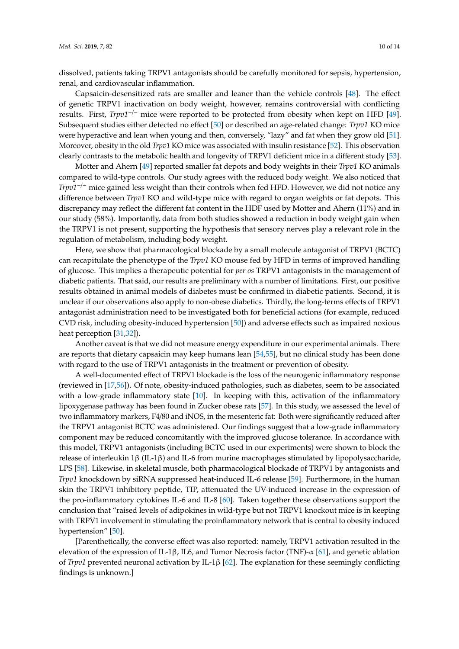dissolved, patients taking TRPV1 antagonists should be carefully monitored for sepsis, hypertension, renal, and cardiovascular inflammation.

Capsaicin-desensitized rats are smaller and leaner than the vehicle controls [\[48\]](#page-12-11). The effect of genetic TRPV1 inactivation on body weight, however, remains controversial with conflicting results. First, *Trpv1*−/<sup>−</sup> mice were reported to be protected from obesity when kept on HFD [\[49\]](#page-12-12). Subsequent studies either detected no effect [\[50\]](#page-12-13) or described an age-related change: *Trpv1* KO mice were hyperactive and lean when young and then, conversely, "lazy" and fat when they grow old [\[51\]](#page-12-14). Moreover, obesity in the old *Trpv1* KO mice was associated with insulin resistance [\[52\]](#page-12-15). This observation clearly contrasts to the metabolic health and longevity of TRPV1 deficient mice in a different study [\[53\]](#page-12-16).

Motter and Ahern [\[49\]](#page-12-12) reported smaller fat depots and body weights in their *Trpv1* KO animals compared to wild-type controls. Our study agrees with the reduced body weight. We also noticed that *Trpv1<sup>-/−</sup>* mice gained less weight than their controls when fed HFD. However, we did not notice any difference between *Trpv1* KO and wild-type mice with regard to organ weights or fat depots. This discrepancy may reflect the different fat content in the HDF used by Motter and Ahern (11%) and in our study (58%). Importantly, data from both studies showed a reduction in body weight gain when the TRPV1 is not present, supporting the hypothesis that sensory nerves play a relevant role in the regulation of metabolism, including body weight.

Here, we show that pharmacological blockade by a small molecule antagonist of TRPV1 (BCTC) can recapitulate the phenotype of the *Trpv1* KO mouse fed by HFD in terms of improved handling of glucose. This implies a therapeutic potential for *per os* TRPV1 antagonists in the management of diabetic patients. That said, our results are preliminary with a number of limitations. First, our positive results obtained in animal models of diabetes must be confirmed in diabetic patients. Second, it is unclear if our observations also apply to non-obese diabetics. Thirdly, the long-terms effects of TRPV1 antagonist administration need to be investigated both for beneficial actions (for example, reduced CVD risk, including obesity-induced hypertension [\[50\]](#page-12-13)) and adverse effects such as impaired noxious heat perception [\[31,](#page-11-17)[32\]](#page-11-18)).

Another caveat is that we did not measure energy expenditure in our experimental animals. There are reports that dietary capsaicin may keep humans lean [\[54,](#page-12-17)[55\]](#page-13-0), but no clinical study has been done with regard to the use of TRPV1 antagonists in the treatment or prevention of obesity.

A well-documented effect of TRPV1 blockade is the loss of the neurogenic inflammatory response (reviewed in [\[17,](#page-11-3)[56\]](#page-13-1)). Of note, obesity-induced pathologies, such as diabetes, seem to be associated with a low-grade inflammatory state [\[10\]](#page-10-9). In keeping with this, activation of the inflammatory lipoxygenase pathway has been found in Zucker obese rats [\[57\]](#page-13-2). In this study, we assessed the level of two inflammatory markers, F4/80 and iNOS, in the mesenteric fat: Both were significantly reduced after the TRPV1 antagonist BCTC was administered. Our findings suggest that a low-grade inflammatory component may be reduced concomitantly with the improved glucose tolerance. In accordance with this model, TRPV1 antagonists (including BCTC used in our experiments) were shown to block the release of interleukin 1β (IL-1β) and IL-6 from murine macrophages stimulated by lipopolysaccharide, LPS [\[58\]](#page-13-3). Likewise, in skeletal muscle, both pharmacological blockade of TRPV1 by antagonists and *Trpv1* knockdown by siRNA suppressed heat-induced IL-6 release [\[59\]](#page-13-4). Furthermore, in the human skin the TRPV1 inhibitory peptide, TIP, attenuated the UV-induced increase in the expression of the pro-inflammatory cytokines IL-6 and IL-8 [\[60\]](#page-13-5). Taken together these observations support the conclusion that "raised levels of adipokines in wild-type but not TRPV1 knockout mice is in keeping with TRPV1 involvement in stimulating the proinflammatory network that is central to obesity induced hypertension" [\[50\]](#page-12-13).

[Parenthetically, the converse effect was also reported: namely, TRPV1 activation resulted in the elevation of the expression of IL-1β, IL6, and Tumor Necrosis factor (TNF)-α [\[61\]](#page-13-6), and genetic ablation of *Trpv1* prevented neuronal activation by IL-1β [\[62\]](#page-13-7). The explanation for these seemingly conflicting findings is unknown.]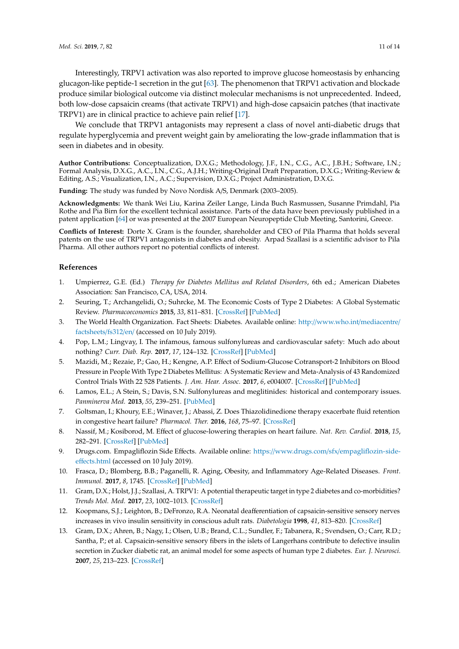Interestingly, TRPV1 activation was also reported to improve glucose homeostasis by enhancing glucagon-like peptide-1 secretion in the gut [\[63\]](#page-13-8). The phenomenon that TRPV1 activation and blockade produce similar biological outcome via distinct molecular mechanisms is not unprecedented. Indeed, both low-dose capsaicin creams (that activate TRPV1) and high-dose capsaicin patches (that inactivate TRPV1) are in clinical practice to achieve pain relief [\[17\]](#page-11-3).

We conclude that TRPV1 antagonists may represent a class of novel anti-diabetic drugs that regulate hyperglycemia and prevent weight gain by ameliorating the low-grade inflammation that is seen in diabetes and in obesity.

**Author Contributions:** Conceptualization, D.X.G.; Methodology, J.F., I.N., C.G., A.C., J.B.H.; Software, I.N.; Formal Analysis, D.X.G., A.C., I.N., C.G., A.J.H.; Writing-Original Draft Preparation, D.X.G.; Writing-Review & Editing, A.S.; Visualization, I.N., A.C.; Supervision, D.X.G.; Project Administration, D.X.G.

**Funding:** The study was funded by Novo Nordisk A/S, Denmark (2003–2005).

**Acknowledgments:** We thank Wei Liu, Karina Zeiler Lange, Linda Buch Rasmussen, Susanne Primdahl, Pia Rothe and Pia Birn for the excellent technical assistance. Parts of the data have been previously published in a patent application [\[64\]](#page-13-9) or was presented at the 2007 European Neuropeptide Club Meeting, Santorini, Greece.

**Conflicts of Interest:** Dorte X. Gram is the founder, shareholder and CEO of Pila Pharma that holds several patents on the use of TRPV1 antagonists in diabetes and obesity. Arpad Szallasi is a scientific advisor to Pila Pharma. All other authors report no potential conflicts of interest.

#### **References**

- <span id="page-10-0"></span>1. Umpierrez, G.E. (Ed.) *Therapy for Diabetes Mellitus and Related Disorders*, 6th ed.; American Diabetes Association: San Francisco, CA, USA, 2014.
- <span id="page-10-1"></span>2. Seuring, T.; Archangelidi, O.; Suhrcke, M. The Economic Costs of Type 2 Diabetes: A Global Systematic Review. *Pharmacoeconomics* **2015**, *33*, 811–831. [\[CrossRef\]](http://dx.doi.org/10.1007/s40273-015-0268-9) [\[PubMed\]](http://www.ncbi.nlm.nih.gov/pubmed/25787932)
- <span id="page-10-2"></span>3. The World Health Organization. Fact Sheets: Diabetes. Available online: http://[www.who.int](http://www.who.int/mediacentre/factsheets/fs312/en/)/mediacentre/ [factsheets](http://www.who.int/mediacentre/factsheets/fs312/en/)/fs312/en/ (accessed on 10 July 2019).
- <span id="page-10-3"></span>4. Pop, L.M.; Lingvay, I. The infamous, famous sulfonylureas and cardiovascular safety: Much ado about nothing? *Curr. Diab. Rep.* **2017**, *17*, 124–132. [\[CrossRef\]](http://dx.doi.org/10.1007/s11892-017-0954-4) [\[PubMed\]](http://www.ncbi.nlm.nih.gov/pubmed/29063276)
- <span id="page-10-4"></span>5. Mazidi, M.; Rezaie, P.; Gao, H.; Kengne, A.P. Effect of Sodium-Glucose Cotransport-2 Inhibitors on Blood Pressure in People With Type 2 Diabetes Mellitus: A Systematic Review and Meta-Analysis of 43 Randomized Control Trials With 22 528 Patients. *J. Am. Hear. Assoc.* **2017**, *6*, e004007. [\[CrossRef\]](http://dx.doi.org/10.1161/JAHA.116.004007) [\[PubMed\]](http://www.ncbi.nlm.nih.gov/pubmed/28546454)
- <span id="page-10-5"></span>6. Lamos, E.L.; A Stein, S.; Davis, S.N. Sulfonylureas and meglitinides: historical and contemporary issues. *Panminerva Med.* **2013**, *55*, 239–251. [\[PubMed\]](http://www.ncbi.nlm.nih.gov/pubmed/24088798)
- <span id="page-10-6"></span>7. Goltsman, I.; Khoury, E.E.; Winaver, J.; Abassi, Z. Does Thiazolidinedione therapy exacerbate fluid retention in congestive heart failure? *Pharmacol. Ther.* **2016**, *168*, 75–97. [\[CrossRef\]](http://dx.doi.org/10.1016/j.pharmthera.2016.09.007)
- <span id="page-10-7"></span>8. Nassif, M.; Kosiborod, M. Effect of glucose-lowering therapies on heart failure. *Nat. Rev. Cardiol.* **2018**, *15*, 282–291. [\[CrossRef\]](http://dx.doi.org/10.1038/nrcardio.2017.211) [\[PubMed\]](http://www.ncbi.nlm.nih.gov/pubmed/29368701)
- <span id="page-10-8"></span>9. Drugs.com. Empagliflozin Side Effects. Available online: https://www.drugs.com/sfx/[empagliflozin-side](https://www.drugs.com/sfx/empagliflozin-side-effects.html)eff[ects.html](https://www.drugs.com/sfx/empagliflozin-side-effects.html) (accessed on 10 July 2019).
- <span id="page-10-9"></span>10. Frasca, D.; Blomberg, B.B.; Paganelli, R. Aging, Obesity, and Inflammatory Age-Related Diseases. *Front. Immunol.* **2017**, *8*, 1745. [\[CrossRef\]](http://dx.doi.org/10.3389/fimmu.2017.01745) [\[PubMed\]](http://www.ncbi.nlm.nih.gov/pubmed/29270179)
- <span id="page-10-10"></span>11. Gram, D.X.; Holst, J.J.; Szallasi, A. TRPV1: A potential therapeutic target in type 2 diabetes and co-morbidities? *Trends Mol. Med.* **2017**, *23*, 1002–1013. [\[CrossRef\]](http://dx.doi.org/10.1016/j.molmed.2017.09.005)
- <span id="page-10-11"></span>12. Koopmans, S.J.; Leighton, B.; DeFronzo, R.A. Neonatal deafferentiation of capsaicin-sensitive sensory nerves increases in vivo insulin sensitivity in conscious adult rats. *Diabetologia* **1998**, *41*, 813–820. [\[CrossRef\]](http://dx.doi.org/10.1007/s001250050992)
- <span id="page-10-12"></span>13. Gram, D.X.; Ahren, B.; Nagy, I.; Olsen, U.B.; Brand, C.L.; Sundler, F.; Tabanera, R.; Svendsen, O.; Carr, R.D.; Santha, P.; et al. Capsaicin-sensitive sensory fibers in the islets of Langerhans contribute to defective insulin secretion in Zucker diabetic rat, an animal model for some aspects of human type 2 diabetes. *Eur. J. Neurosci.* **2007**, *25*, 213–223. [\[CrossRef\]](http://dx.doi.org/10.1111/j.1460-9568.2006.05261.x)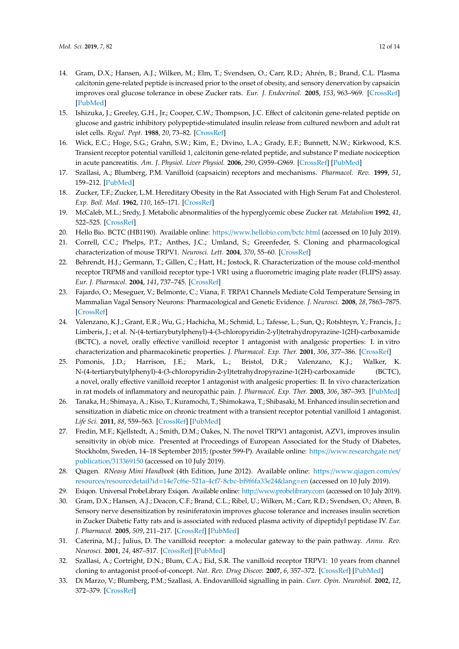- <span id="page-11-0"></span>14. Gram, D.X.; Hansen, A.J.; Wilken, M.; Elm, T.; Svendsen, O.; Carr, R.D.; Ahrén, B.; Brand, C.L. Plasma calcitonin gene-related peptide is increased prior to the onset of obesity, and sensory denervation by capsaicin improves oral glucose tolerance in obese Zucker rats. *Eur. J. Endocrinol.* **2005**, *153*, 963–969. [\[CrossRef\]](http://dx.doi.org/10.1530/eje.1.02046) [\[PubMed\]](http://www.ncbi.nlm.nih.gov/pubmed/16322403)
- <span id="page-11-1"></span>15. Ishizuka, J.; Greeley, G.H., Jr.; Cooper, C.W.; Thompson, J.C. Effect of calcitonin gene-related peptide on glucose and gastric inhibitory polypeptide-stimulated insulin release from cultured newborn and adult rat islet cells. *Regul. Pept.* **1988**, *20*, 73–82. [\[CrossRef\]](http://dx.doi.org/10.1016/0167-0115(88)90059-6)
- <span id="page-11-2"></span>16. Wick, E.C.; Hoge, S.G.; Grahn, S.W.; Kim, E.; Divino, L.A.; Grady, E.F.; Bunnett, N.W.; Kirkwood, K.S. Transient receptor potential vanilloid 1, calcitonin gene-related peptide, and substance P mediate nociception in acute pancreatitis. *Am. J. Physiol. Liver Physiol.* **2006**, *290*, G959–G969. [\[CrossRef\]](http://dx.doi.org/10.1152/ajpgi.00154.2005) [\[PubMed\]](http://www.ncbi.nlm.nih.gov/pubmed/16399878)
- <span id="page-11-3"></span>17. Szallasi, A.; Blumberg, P.M. Vanilloid (capsaicin) receptors and mechanisms. *Pharmacol. Rev.* **1999**, *51*, 159–212. [\[PubMed\]](http://www.ncbi.nlm.nih.gov/pubmed/10353985)
- <span id="page-11-4"></span>18. Zucker, T.F.; Zucker, L.M. Hereditary Obesity in the Rat Associated with High Serum Fat and Cholesterol. *Exp. Boil. Med.* **1962**, *110*, 165–171. [\[CrossRef\]](http://dx.doi.org/10.3181/00379727-110-27455)
- <span id="page-11-5"></span>19. McCaleb, M.L.; Sredy, J. Metabolic abnormalities of the hyperglycemic obese Zucker rat. *Metabolism* **1992**, *41*, 522–525. [\[CrossRef\]](http://dx.doi.org/10.1016/0026-0495(92)90212-S)
- <span id="page-11-6"></span>20. Hello Bio. BCTC (HB1190). Available online: https://[www.hellobio.com](https://www.hellobio.com/bctc.html)/bctc.html (accessed on 10 July 2019).
- <span id="page-11-7"></span>21. Correll, C.C.; Phelps, P.T.; Anthes, J.C.; Umland, S.; Greenfeder, S. Cloning and pharmacological characterization of mouse TRPV1. *Neurosci. Lett.* **2004**, *370*, 55–60. [\[CrossRef\]](http://dx.doi.org/10.1016/j.neulet.2004.07.058)
- <span id="page-11-8"></span>22. Behrendt, H.J.; Germann, T.; Gillen, C.; Hatt, H.; Jostock, R. Characterization of the mouse cold-menthol receptor TRPM8 and vanilloid receptor type-1 VR1 using a fluorometric imaging plate reader (FLIPS) assay. *Eur. J. Pharmacol.* **2004**, *141*, 737–745. [\[CrossRef\]](http://dx.doi.org/10.1038/sj.bjp.0705652)
- <span id="page-11-9"></span>23. Fajardo, O.; Meseguer, V.; Belmonte, C.; Viana, F. TRPA1 Channels Mediate Cold Temperature Sensing in Mammalian Vagal Sensory Neurons: Pharmacological and Genetic Evidence. *J. Neurosci.* **2008**, *28*, 7863–7875. [\[CrossRef\]](http://dx.doi.org/10.1523/JNEUROSCI.1696-08.2008)
- <span id="page-11-10"></span>24. Valenzano, K.J.; Grant, E.R.; Wu, G.; Hachicha, M.; Schmid, L.; Tafesse, L.; Sun, Q.; Rotshteyn, Y.; Francis, J.; Limberis, J.; et al. N-(4-tertiarybutylphenyl)-4-(3-chloropyridin-2-yl)tetrahydropyrazine-1(2H)-carboxamide (BCTC), a novel, orally effective vanilloid receptor 1 antagonist with analgesic properties: I. in vitro characterization and pharmacokinetic properties. *J. Pharmacol. Exp. Ther.* **2001**, *306*, 377–386. [\[CrossRef\]](http://dx.doi.org/10.1124/jpet.102.045674)
- <span id="page-11-11"></span>25. Pomonis, J.D.; Harrison, J.E.; Mark, L.; Bristol, D.R.; Valenzano, K.J.; Walker, K. N-(4-tertiarybutylphenyl)-4-(3-chloropyridin-2-yl)tetrahydropyrazine-1(2H)-carboxamide (BCTC), a novel, orally effective vanilloid receptor 1 antagonist with analgesic properties: II. In vivo characterization in rat models of inflammatory and neuropathic pain. *J. Pharmacol. Exp. Ther.* **2003**, *306*, 387–393. [\[PubMed\]](http://www.ncbi.nlm.nih.gov/pubmed/12721336)
- <span id="page-11-12"></span>26. Tanaka, H.; Shimaya, A.; Kiso, T.; Kuramochi, T.; Shimokawa, T.; Shibasaki, M. Enhanced insulin secretion and sensitization in diabetic mice on chronic treatment with a transient receptor potential vanilloid 1 antagonist. *Life Sci.* **2011**, *88*, 559–563. [\[CrossRef\]](http://dx.doi.org/10.1016/j.lfs.2011.01.016) [\[PubMed\]](http://www.ncbi.nlm.nih.gov/pubmed/21277869)
- <span id="page-11-13"></span>27. Fredin, M.F.; Kjellstedt, A.; Smith, D.M.; Oakes, N. The novel TRPV1 antagonist, AZV1, improves insulin sensitivity in ob/ob mice. Presented at Proceedings of European Associated for the Study of Diabetes, Stockholm, Sweden, 14–18 September 2015; (poster 599-P). Available online: https://[www.researchgate.net](https://www.researchgate.net/publication/313369150)/ [publication](https://www.researchgate.net/publication/313369150)/313369150 (accessed on 10 July 2019).
- <span id="page-11-14"></span>28. Qiagen. *RNeasy Mini Handbook* (4th Edition, June 2012). Available online: https://[www.qiagen.com](https://www.qiagen.com/es/resources/resourcedetail?id=14e7cf6e-521a-4cf7-8cbc-bf9f6fa33e24&lang=en)/es/ resources/resourcedetail?id=[14e7cf6e-521a-4cf7-8cbc-bf9f6fa33e24&lang](https://www.qiagen.com/es/resources/resourcedetail?id=14e7cf6e-521a-4cf7-8cbc-bf9f6fa33e24&lang=en)=en (accessed on 10 July 2019).
- <span id="page-11-15"></span>29. Exiqon. Universal ProbeLibrary Exiqon. Available online: http://[www.probelibrary.com](http://www.probelibrary.com) (accessed on 10 July 2019).
- <span id="page-11-16"></span>30. Gram, D.X.; Hansen, A.J.; Deacon, C.F.; Brand, C.L.; Ribel, U.; Wilken, M.; Carr, R.D.; Svendsen, O.; Ahren, B. Sensory nerve desensitization by resiniferatoxin improves glucose tolerance and increases insulin secretion in Zucker Diabetic Fatty rats and is associated with reduced plasma activity of dipeptidyl peptidase IV. *Eur. J. Pharmacol.* **2005**, *509*, 211–217. [\[CrossRef\]](http://dx.doi.org/10.1016/j.ejphar.2004.12.039) [\[PubMed\]](http://www.ncbi.nlm.nih.gov/pubmed/15733558)
- <span id="page-11-17"></span>31. Caterina, M.J.; Julius, D. The vanilloid receptor: a molecular gateway to the pain pathway. *Annu. Rev. Neurosci.* **2001**, *24*, 487–517. [\[CrossRef\]](http://dx.doi.org/10.1146/annurev.neuro.24.1.487) [\[PubMed\]](http://www.ncbi.nlm.nih.gov/pubmed/11283319)
- <span id="page-11-18"></span>32. Szallasi, A.; Cortright, D.N.; Blum, C.A.; Eid, S.R. The vanilloid receptor TRPV1: 10 years from channel cloning to antagonist proof-of-concept. *Nat. Rev. Drug Discov.* **2007**, *6*, 357–372. [\[CrossRef\]](http://dx.doi.org/10.1038/nrd2280) [\[PubMed\]](http://www.ncbi.nlm.nih.gov/pubmed/17464295)
- <span id="page-11-19"></span>33. Di Marzo, V.; Blumberg, P.M.; Szallasi, A. Endovanilloid signalling in pain. *Curr. Opin. Neurobiol.* **2002**, *12*, 372–379. [\[CrossRef\]](http://dx.doi.org/10.1016/S0959-4388(02)00340-9)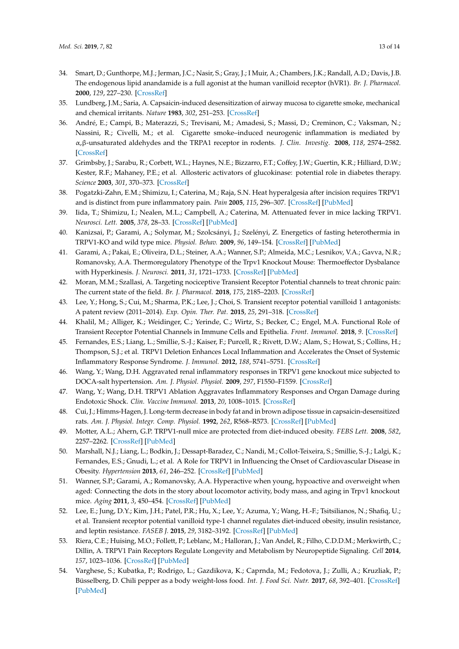- <span id="page-12-0"></span>34. Smart, D.; Gunthorpe, M.J.; Jerman, J.C.; Nasir, S.; Gray, J.; I Muir, A.; Chambers, J.K.; Randall, A.D.; Davis, J.B. The endogenous lipid anandamide is a full agonist at the human vanilloid receptor (hVR1). *Br. J. Pharmacol.* **2000**, *129*, 227–230. [\[CrossRef\]](http://dx.doi.org/10.1038/sj.bjp.0703050)
- <span id="page-12-1"></span>35. Lundberg, J.M.; Saria, A. Capsaicin-induced desensitization of airway mucosa to cigarette smoke, mechanical and chemical irritants. *Nature* **1983**, *302*, 251–253. [\[CrossRef\]](http://dx.doi.org/10.1038/302251a0)
- <span id="page-12-2"></span>36. André, E.; Campi, B.; Materazzi, S.; Trevisani, M.; Amadesi, S.; Massi, D.; Creminon, C.; Vaksman, N.; Nassini, R.; Civelli, M.; et al. Cigarette smoke–induced neurogenic inflammation is mediated by α,β-unsaturated aldehydes and the TRPA1 receptor in rodents. *J. Clin. Investig.* **2008**, *118*, 2574–2582. [\[CrossRef\]](http://dx.doi.org/10.1172/JCI34886)
- <span id="page-12-3"></span>37. Grimbsby, J.; Sarabu, R.; Corbett, W.L.; Haynes, N.E.; Bizzarro, F.T.; Coffey, J.W.; Guertin, K.R.; Hilliard, D.W.; Kester, R.F.; Mahaney, P.E.; et al. Allosteric activators of glucokinase: potential role in diabetes therapy. *Science* **2003**, *301*, 370–373. [\[CrossRef\]](http://dx.doi.org/10.1126/science.1084073)
- <span id="page-12-4"></span>38. Pogatzki-Zahn, E.M.; Shimizu, I.; Caterina, M.; Raja, S.N. Heat hyperalgesia after incision requires TRPV1 and is distinct from pure inflammatory pain. *Pain* **2005**, *115*, 296–307. [\[CrossRef\]](http://dx.doi.org/10.1016/j.pain.2005.03.010) [\[PubMed\]](http://www.ncbi.nlm.nih.gov/pubmed/15911156)
- <span id="page-12-5"></span>39. Iida, T.; Shimizu, I.; Nealen, M.L.; Campbell, A.; Caterina, M. Attenuated fever in mice lacking TRPV1. *Neurosci. Lett.* **2005**, *378*, 28–33. [\[CrossRef\]](http://dx.doi.org/10.1016/j.neulet.2004.12.007) [\[PubMed\]](http://www.ncbi.nlm.nih.gov/pubmed/15763167)
- 40. Kanizsai, P.; Garami, A.; Solymar, M.; Szolcsányi, J.; Szelényi, Z. Energetics of fasting heterothermia in TRPV1-KO and wild type mice. *Physiol. Behav.* **2009**, *96*, 149–154. [\[CrossRef\]](http://dx.doi.org/10.1016/j.physbeh.2008.09.023) [\[PubMed\]](http://www.ncbi.nlm.nih.gov/pubmed/18938188)
- <span id="page-12-6"></span>41. Garami, A.; Pakai, E.; Oliveira, D.L.; Steiner, A.A.; Wanner, S.P.; Almeida, M.C.; Lesnikov, V.A.; Gavva, N.R.; Romanovsky, A.A. Thermoregulatory Phenotype of the Trpv1 Knockout Mouse: Thermoeffector Dysbalance with Hyperkinesis. *J. Neurosci.* **2011**, *31*, 1721–1733. [\[CrossRef\]](http://dx.doi.org/10.1523/JNEUROSCI.4671-10.2011) [\[PubMed\]](http://www.ncbi.nlm.nih.gov/pubmed/21289181)
- <span id="page-12-7"></span>42. Moran, M.M.; Szallasi, A. Targeting nociceptive Transient Receptor Potential channels to treat chronic pain: The current state of the field. *Br. J. Pharmacol.* **2018**, *175*, 2185–2203. [\[CrossRef\]](http://dx.doi.org/10.1111/bph.14044)
- <span id="page-12-8"></span>43. Lee, Y.; Hong, S.; Cui, M.; Sharma, P.K.; Lee, J.; Choi, S. Transient receptor potential vanilloid 1 antagonists: A patent review (2011–2014). *Exp. Opin. Ther. Pat.* **2015**, *25*, 291–318. [\[CrossRef\]](http://dx.doi.org/10.1517/13543776.2015.1008449)
- <span id="page-12-9"></span>44. Khalil, M.; Alliger, K.; Weidinger, C.; Yerinde, C.; Wirtz, S.; Becker, C.; Engel, M.A. Functional Role of Transient Receptor Potential Channels in Immune Cells and Epithelia. *Front. Immunol.* **2018**, *9*. [\[CrossRef\]](http://dx.doi.org/10.3389/fimmu.2018.00174)
- 45. Fernandes, E.S.; Liang, L.; Smillie, S.-J.; Kaiser, F.; Purcell, R.; Rivett, D.W.; Alam, S.; Howat, S.; Collins, H.; Thompson, S.J.; et al. TRPV1 Deletion Enhances Local Inflammation and Accelerates the Onset of Systemic Inflammatory Response Syndrome. *J. Immunol.* **2012**, *188*, 5741–5751. [\[CrossRef\]](http://dx.doi.org/10.4049/jimmunol.1102147)
- 46. Wang, Y.; Wang, D.H. Aggravated renal inflammatory responses in TRPV1 gene knockout mice subjected to DOCA-salt hypertension. *Am. J. Physiol. Physiol.* **2009**, *297*, F1550–F1559. [\[CrossRef\]](http://dx.doi.org/10.1152/ajprenal.00012.2009)
- <span id="page-12-10"></span>47. Wang, Y.; Wang, D.H. TRPV1 Ablation Aggravates Inflammatory Responses and Organ Damage during Endotoxic Shock. *Clin. Vaccine Immunol.* **2013**, *20*, 1008–1015. [\[CrossRef\]](http://dx.doi.org/10.1128/CVI.00674-12)
- <span id="page-12-11"></span>48. Cui, J.; Himms-Hagen, J. Long-term decrease in body fat and in brown adipose tissue in capsaicin-desensitized rats. *Am. J. Physiol. Integr. Comp. Physiol.* **1992**, *262*, R568–R573. [\[CrossRef\]](http://dx.doi.org/10.1152/ajpregu.1992.262.4.R568) [\[PubMed\]](http://www.ncbi.nlm.nih.gov/pubmed/1314515)
- <span id="page-12-12"></span>49. Motter, A.L.; Ahern, G.P. TRPV1-null mice are protected from diet-induced obesity. *FEBS Lett.* **2008**, *582*, 2257–2262. [\[CrossRef\]](http://dx.doi.org/10.1016/j.febslet.2008.05.021) [\[PubMed\]](http://www.ncbi.nlm.nih.gov/pubmed/18503767)
- <span id="page-12-13"></span>50. Marshall, N.J.; Liang, L.; Bodkin, J.; Dessapt-Baradez, C.; Nandi, M.; Collot-Teixeira, S.; Smillie, S.-J.; Lalgi, K.; Fernandes, E.S.; Gnudi, L.; et al. A Role for TRPV1 in Influencing the Onset of Cardiovascular Disease in Obesity. *Hypertension* **2013**, *61*, 246–252. [\[CrossRef\]](http://dx.doi.org/10.1161/HYPERTENSIONAHA.112.201434) [\[PubMed\]](http://www.ncbi.nlm.nih.gov/pubmed/23150506)
- <span id="page-12-14"></span>51. Wanner, S.P.; Garami, A.; Romanovsky, A.A. Hyperactive when young, hypoactive and overweight when aged: Connecting the dots in the story about locomotor activity, body mass, and aging in Trpv1 knockout mice. *Aging* **2011**, *3*, 450–454. [\[CrossRef\]](http://dx.doi.org/10.18632/aging.100306) [\[PubMed\]](http://www.ncbi.nlm.nih.gov/pubmed/21483038)
- <span id="page-12-15"></span>52. Lee, E.; Jung, D.Y.; Kim, J.H.; Patel, P.R.; Hu, X.; Lee, Y.; Azuma, Y.; Wang, H.-F.; Tsitsilianos, N.; Shafiq, U.; et al. Transient receptor potential vanilloid type-1 channel regulates diet-induced obesity, insulin resistance, and leptin resistance. *FASEB J.* **2015**, *29*, 3182–3192. [\[CrossRef\]](http://dx.doi.org/10.1096/fj.14-268300) [\[PubMed\]](http://www.ncbi.nlm.nih.gov/pubmed/25888600)
- <span id="page-12-16"></span>53. Riera, C.E.; Huising, M.O.; Follett, P.; Leblanc, M.; Halloran, J.; Van Andel, R.; Filho, C.D.D.M.; Merkwirth, C.; Dillin, A. TRPV1 Pain Receptors Regulate Longevity and Metabolism by Neuropeptide Signaling. *Cell* **2014**, *157*, 1023–1036. [\[CrossRef\]](http://dx.doi.org/10.1016/j.cell.2014.03.051) [\[PubMed\]](http://www.ncbi.nlm.nih.gov/pubmed/24855942)
- <span id="page-12-17"></span>54. Varghese, S.; Kubatka, P.; Rodrigo, L.; Gazdikova, K.; Caprnda, M.; Fedotova, J.; Zulli, A.; Kruzliak, P.; Büsselberg, D. Chili pepper as a body weight-loss food. *Int. J. Food Sci. Nutr.* **2017**, *68*, 392–401. [\[CrossRef\]](http://dx.doi.org/10.1080/09637486.2016.1258044) [\[PubMed\]](http://www.ncbi.nlm.nih.gov/pubmed/27899046)